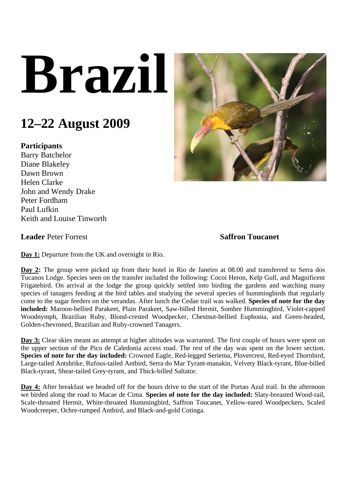## **Brazil**

## **12–22 August 2009**

## **Participants**

Barry Batchelor Diane Blakeley Dawn Brown Helen Clarke John and Wendy Drake Peter Fordham Paul Lufkin Keith and Louise Tinworth



**Leader Peter Forrest** Saffron Toucanet

**Day 1:** Departure from the UK and overnight in Rio.

**Day 2:** The group were picked up from their hotel in Rio de Janeiro at 08.00 and transferred to Serra dos Tucanos Lodge. Species seen on the transfer included the following: Cocoi Heron, Kelp Gull, and Magnificent Frigatebird. On arrival at the lodge the group quickly settled into birding the gardens and watching many species of tanagers feeding at the bird tables and studying the several species of hummingbirds that regularly come to the sugar feeders on the verandas. After lunch the Cedae trail was walked. **Species of note for the day included:** Maroon-bellied Parakeet, Plain Parakeet, Saw-billed Hermit, Sombre Hummingbird, Violet-capped Woodnymph, Brazilian Ruby, Blond-crested Woodpecker, Chestnut-bellied Euphonia, and Green-headed, Golden-chevroned, Brazilian and Ruby-crowned Tanagers.

**Day 3:** Clear skies meant an attempt at higher altitudes was warranted. The first couple of hours were spent on the upper section of the Pico de Caledonia access road. The rest of the day was spent on the lower section. **Species of note for the day included:** Crowned Eagle, Red-legged Seriema, Plovercrest, Red-eyed Thornbird, Large-tailed Antshrike, Rufous-tailed Antbird, Serra do Mar Tyrant-manakin, Velvety Black-tyrant, Blue-billed Black-tyrant, Shear-tailed Grey-tyrant, and Thick-billed Saltator.

**Day 4:** After breakfast we headed off for the hours drive to the start of the Portao Azul trail. In the afternoon we birded along the road to Macae de Cima. **Species of note for the day included:** Slaty-breasted Wood-rail, Scale-throated Hermit, White-throated Hummingbird, Saffron Toucanet, Yellow-eared Woodpeckers, Scaled Woodcreeper, Ochre-rumped Antbird, and Black-and-gold Cotinga.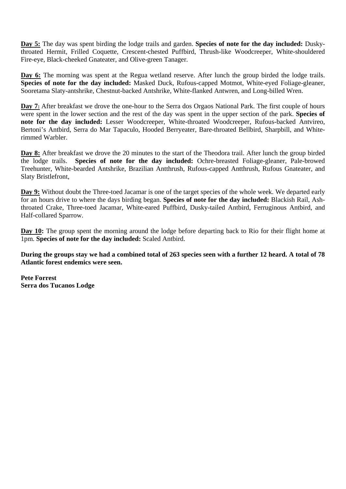**Day 5:** The day was spent birding the lodge trails and garden. **Species of note for the day included:** Duskythroated Hermit, Frilled Coquette, Crescent-chested Puffbird, Thrush-like Woodcreeper, White-shouldered Fire-eye, Black-cheeked Gnateater, and Olive-green Tanager.

Day 6: The morning was spent at the Regua wetland reserve. After lunch the group birded the lodge trails. **Species of note for the day included:** Masked Duck, Rufous-capped Motmot, White-eyed Foliage-gleaner, Sooretama Slaty-antshrike, Chestnut-backed Antshrike, White-flanked Antwren, and Long-billed Wren.

**Day 7:** After breakfast we drove the one-hour to the Serra dos Orgaos National Park. The first couple of hours were spent in the lower section and the rest of the day was spent in the upper section of the park. **Species of note for the day included:** Lesser Woodcreeper, White-throated Woodcreeper, Rufous-backed Antvireo, Bertoni's Antbird, Serra do Mar Tapaculo, Hooded Berryeater, Bare-throated Bellbird, Sharpbill, and Whiterimmed Warbler.

**Day 8:** After breakfast we drove the 20 minutes to the start of the Theodora trail. After lunch the group birded the lodge trails. **Species of note for the day included:** Ochre-breasted Foliage-gleaner, Pale-browed Treehunter, White-bearded Antshrike, Brazilian Antthrush, Rufous-capped Antthrush, Rufous Gnateater, and Slaty Bristlefront,

**Day 9:** Without doubt the Three-toed Jacamar is one of the target species of the whole week. We departed early for an hours drive to where the days birding began. **Species of note for the day included:** Blackish Rail, Ashthroated Crake, Three-toed Jacamar, White-eared Puffbird, Dusky-tailed Antbird, Ferruginous Antbird, and Half-collared Sparrow.

**Day 10:** The group spent the morning around the lodge before departing back to Rio for their flight home at 1pm. **Species of note for the day included:** Scaled Antbird.

**During the groups stay we had a combined total of 263 species seen with a further 12 heard. A total of 78 Atlantic forest endemics were seen.** 

**Pete Forrest Serra dos Tucanos Lodge**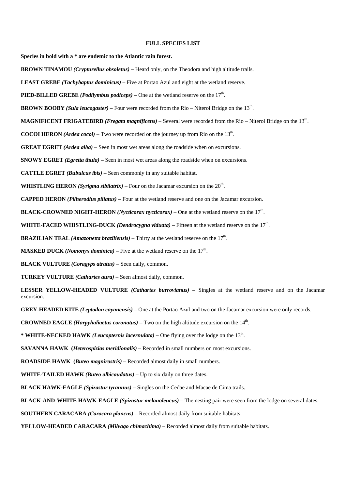## **FULL SPECIES LIST**

**Species in bold with a \* are endemic to the Atlantic rain forest.** 

**BROWN TINAMOU** *(Crypturellus obsoletus) –* Heard only, on the Theodora and high altitude trails.

**LEAST GREBE** *(Tachybaptus dominicus)* – Five at Portao Azul and eight at the wetland reserve.

**PIED-BILLED GREBE** *(Podilymbus podiceps)* – One at the wetland reserve on the  $17<sup>th</sup>$ .

**BROWN BOOBY** *(Sula leucogaster) –* Four were recorded from the Rio – Niteroi Bridge on the 13th.

**MAGNIFICENT FRIGATEBIRD** *(Fregata magnificens)* – Several were recorded from the Rio – Niteroi Bridge on the 13th.

**COCOI HERON** *(Ardea cocoi)* – Two were recorded on the journey up from Rio on the  $13<sup>th</sup>$ .

**GREAT EGRET** *(Ardea alba)* – Seen in most wet areas along the roadside when on excursions.

**SNOWY EGRET** *(Egretta thula) –* Seen in most wet areas along the roadside when on excursions.

**CATTLE EGRET** *(Bubulcus ibis) –* Seen commonly in any suitable habitat.

**WHISTLING HERON** *(Syrigma sibilatrix)* – Four on the Jacamar excursion on the  $20^{\text{th}}$ .

**CAPPED HERON** *(Pilherodius piliatus) –* Four at the wetland reserve and one on the Jacamar excursion.

**BLACK-CROWNED NIGHT-HERON** *(Nycticorax nycticorax)* – One at the wetland reserve on the  $17<sup>th</sup>$ .

WHITE-FACED WHISTLING-DUCK *(Dendrocygna viduata)* – Fifteen at the wetland reserve on the 17<sup>th</sup>.

**BRAZILIAN TEAL** *(Amazonetta braziliensis)* – Thirty at the wetland reserve on the  $17<sup>th</sup>$ .

**MASKED DUCK** *(Nomonyx dominica)* – Five at the wetland reserve on the  $17<sup>th</sup>$ .

**BLACK VULTURE** *(Coragyps atratus)* – Seen daily, common.

**TURKEY VULTURE** *(Cathartes aura)* – Seen almost daily, common.

**LESSER YELLOW-HEADED VULTURE** *(Cathartes burrovianus) –* Singles at the wetland reserve and on the Jacamar excursion.

**GREY-HEADED KITE** *(Leptodon cayanensis)* – One at the Portao Azul and two on the Jacamar excursion were only records.

**CROWNED EAGLE** *(Harpyhaliaetus coronatus)* – Two on the high altitude excursion on the  $14<sup>th</sup>$ .

\* **WHITE-NECKED HAWK** *(Leucopternis lacernulata)* – One flying over the lodge on the 13<sup>th</sup>.

**SAVANNA HAWK (***Heterospizias meridionalis)* – Recorded in small numbers on most excursions.

**ROADSIDE HAWK (***Buteo magnirostris)* – Recorded almost daily in small numbers.

**WHITE-TAILED HAWK** *(Buteo albicaudatus)* – Up to six daily on three dates.

**BLACK HAWK-EAGLE** *(Spizastur tyrannus)* – Singles on the Cedae and Macae de Cima trails.

**BLACK-AND-WHITE HAWK-EAGLE** *(Spizastur melanoleucus)* – The nesting pair were seen from the lodge on several dates.

**SOUTHERN CARACARA** *(Caracara plancus)* – Recorded almost daily from suitable habitats.

**YELLOW-HEADED CARACARA** *(Milvago chimachima)* – Recorded almost daily from suitable habitats.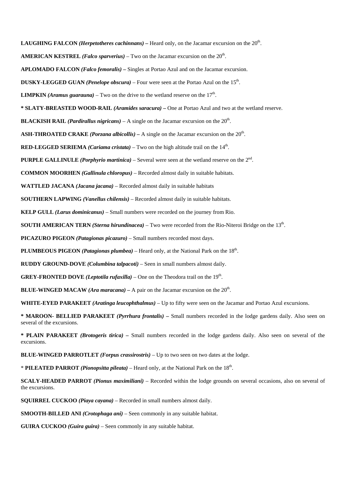**LAUGHING FALCON** *(Herpetotheres cachinnans)* – Heard only, on the Jacamar excursion on the  $20^{\text{th}}$ . **AMERICAN KESTREL** *(Falco sparverius)* – Two on the Jacamar excursion on the  $20<sup>th</sup>$ . **APLOMADO FALCON** *(Falco femoralis) –* Singles at Portao Azul and on the Jacamar excursion. **DUSKY-LEGGED GUAN** *(Penelope obscura)* – Four were seen at the Portao Azul on the 15th. **LIMPKIN** *(Aramus guarauna)* – Two on the drive to the wetland reserve on the  $17<sup>th</sup>$ . **\* SLATY-BREASTED WOOD-RAIL** *(Aramides saracura)* **–** One at Portao Azul and two at the wetland reserve. **BLACKISH RAIL** *(Pardirallus nigricans)* – A single on the Jacamar excursion on the  $20<sup>th</sup>$ . **ASH-THROATED CRAKE** *(Porzana albicollis)* – A single on the Jacamar excursion on the 20<sup>th</sup>. **RED-LEGGED SERIEMA** *(Cariama cristata)* – Two on the high altitude trail on the  $14<sup>th</sup>$ . **PURPLE GALLINULE** *(Porphyrio martinica)* – Several were seen at the wetland reserve on the 2nd. **COMMON MOORHEN** *(Gallinula chloropus)* – Recorded almost daily in suitable habitats. **WATTLED JACANA** *(Jacana jacana)* – Recorded almost daily in suitable habitats  **SOUTHERN LAPWING** *(Vanellus chilensis)* – Recorded almost daily in suitable habitats. **KELP GULL** *(Larus dominicanus)* – Small numbers were recorded on the journey from Rio. **SOUTH AMERICAN TERN** *(Sterna hirundinacea)* – Two were recorded from the Rio-Niteroi Bridge on the 13<sup>th</sup>. **PICAZURO PIGEON** *(Patagionas picazuro)* – Small numbers recorded most days. **PLUMBEOUS PIGEON** *(Patagionas plumbea)* – Heard only, at the National Park on the 18<sup>th</sup>. **RUDDY GROUND-DOVE** *(Columbina talpacoti)* – Seen in small numbers almost daily. **GREY-FRONTED DOVE** *(Leptotila rufaxilla)* – One on the Theodora trail on the  $19<sup>th</sup>$ . **BLUE-WINGED MACAW** *(Ara maracana)* – A pair on the Jacamar excursion on the  $20<sup>th</sup>$ . **WHITE-EYED PARAKEET** *(Aratinga leucophthalmus)* – Up to fifty were seen on the Jacamar and Portao Azul excursions. **\* MAROON- BELLIED PARAKEET** *(Pyrrhura frontalis)* **–** Small numbers recorded in the lodge gardens daily. Also seen on several of the excursions.

**\* PLAIN PARAKEET** *(Brotogeris tirica) –* Small numbers recorded in the lodge gardens daily. Also seen on several of the excursions.

**BLUE-WINGED PARROTLET** *(Forpus crassirostris)* – Up to two seen on two dates at the lodge.

\* **PILEATED PARROT** *(Pionopsitta pileata)* – Heard only, at the National Park on the 18th.

**SCALY-HEADED PARROT** *(Pionus maximiliani)* – Recorded within the lodge grounds on several occasions, also on several of the excursions.

**SQUIRREL CUCKOO** *(Piaya cayana)* – Recorded in small numbers almost daily.

**SMOOTH-BILLED ANI** *(Crotophaga ani)* – Seen commonly in any suitable habitat.

**GUIRA CUCKOO** *(Guira guira)* – Seen commonly in any suitable habitat.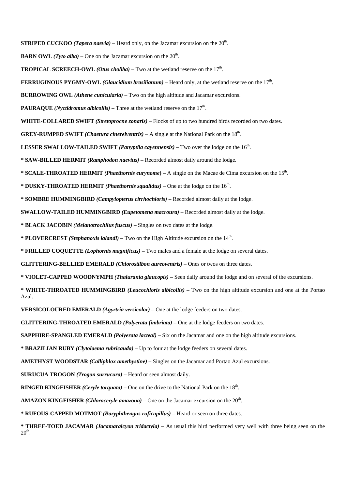**STRIPED CUCKOO** *(Tapera naevia)* – Heard only, on the Jacamar excursion on the  $20<sup>th</sup>$ .

- **BARN OWL** *(Tyto alba)* One on the Jacamar excursion on the  $20<sup>th</sup>$ .
- **TROPICAL SCREECH-OWL** *(Otus choliba)* Two at the wetland reserve on the  $17<sup>th</sup>$ .
- **FERRUGINOUS PYGMY-OWL** *(Glaucidium brasilianum)* Heard only, at the wetland reserve on the 17<sup>th</sup>.
- **BURROWING OWL** *(Athene cunicularia)* Two on the high altitude and Jacamar excursions.
- **PAURAQUE** *(Nyctidromus albicollis)* Three at the wetland reserve on the  $17<sup>th</sup>$ .
- **WHITE-COLLARED SWIFT** *(Stretoprocne zonaris)* Flocks of up to two hundred birds recorded on two dates.
- **GREY-RUMPED SWIFT** *(Chaetura cinereiventris)* A single at the National Park on the  $18<sup>th</sup>$ .
- **LESSER SWALLOW-TAILED SWIFT** *(Panyptila cayennensis)* **Two over the lodge on the 16<sup>th</sup>.**
- **\* SAW-BILLED HERMIT** *(Ramphodon naevius)*Recorded almost daily around the lodge.
- **\* SCALE-THROATED HERMIT** *(Phaethornis eurynome***)** A single on the Macae de Cima excursion on the 15th.
- **\* DUSKY-THROATED HERMIT** *(Phaethornis squalidus)* One at the lodge on the 16th.
- **\* SOMBRE HUMMINGBIRD** *(Campylopterus cirrhochloris)*Recorded almost daily at the lodge.
- **SWALLOW-TAILED HUMMINGBIRD** *(Eupetomena macroura)* Recorded almost daily at the lodge.
- **\* BLACK JACOBIN** *(Melanotrochilus fuscus)*Singles on two dates at the lodge.
- **\* PLOVERCREST** *(Stephanoxis lalandi)*Two on the High Altitude excursion on the 14th.
- **\* FRILLED COQUETTE** *(Lophornis magnificus)*Two males and a female at the lodge on several dates.
- **GLITTERING-BELLIED EMERALD** *(Chlorostilbon aureoventris)* Ones or twos on three dates.
- **\* VIOLET-CAPPED WOODNYMPH** *(Thalurania glaucopis)*Seen daily around the lodge and on several of the excursions.
- **\* WHITE-THROATED HUMMINGBIRD** *(Leucochloris albicollis)* Two on the high altitude excursion and one at the Portao Azul.
- **VERSICOLOURED EMERALD** *(Agyrtria versicolor)* One at the lodge feeders on two dates.
- **GLITTERING-THROATED EMERALD** *(Polyerata fimbriata)* One at the lodge feeders on two dates.
- **SAPPHIRE-SPANGLED EMERALD** *(Polyerata lacteal)* Six on the Jacamar and one on the high altitude excursions.
- **\* BRAZILIAN RUBY** *(Clytolaema rubricauda)* Up to four at the lodge feeders on several dates.
- **AMETHYST WOODSTAR** *(Calliphlox amethystine)* Singles on the Jacamar and Portao Azul excursions.
- **SURUCUA TROGON** *(Trogon surrucura)* Heard or seen almost daily.
- **RINGED KINGFISHER** *(Ceryle torquata)* One on the drive to the National Park on the 18th.
- **AMAZON KINGFISHER** *(Chloroceryle amazona)* One on the Jacamar excursion on the  $20<sup>th</sup>$ .
- **\* RUFOUS-CAPPED MOTMOT** *(Baryphthengus ruficapillus)*Heard or seen on three dates.
- **\* THREE-TOED JACAMAR** *(Jacamaralcyon tridactyla)*As usual this bird performed very well with three being seen on the  $20<sup>th</sup>$ .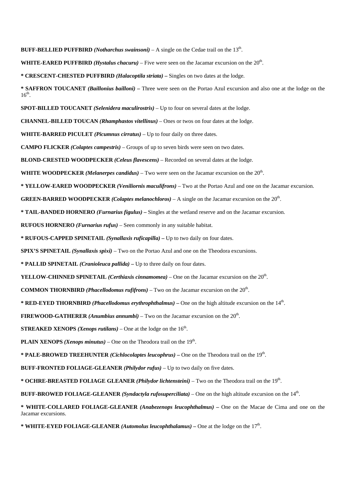**BUFF-BELLIED PUFFBIRD** *(Notharchus swainsoni)* – A single on the Cedae trail on the  $13<sup>th</sup>$ .

**WHITE-EARED PUFFBIRD** *(Hystalus chacuru)* – Five were seen on the Jacamar excursion on the 20th.

**\* CRESCENT-CHESTED PUFFBIRD** *(Halacoptila striata) –* Singles on two dates at the lodge.

**\* SAFFRON TOUCANET** *(Baillonius bailloni)* **–** Three were seen on the Portao Azul excursion and also one at the lodge on the  $16<sup>th</sup>$ .

**SPOT-BILLED TOUCANET** *(Selenidera maculirostris)* – Up to four on several dates at the lodge.

**CHANNEL-BILLED TOUCAN** *(Rhamphastos vitellinus) –* Ones or twos on four dates at the lodge.

**WHITE-BARRED PICULET** *(Picumnus cirratus)* – Up to four daily on three dates.

**CAMPO FLICKER** *(Colaptes campestris)* – Groups of up to seven birds were seen on two dates.

**BLOND-CRESTED WOODPECKER** *(Celeus flavescens)* – Recorded on several dates at the lodge.

**WHITE WOODPECKER** *(Melanerpes candidus)* – Two were seen on the Jacamar excursion on the  $20<sup>th</sup>$ .

**\* YELLOW-EARED WOODPECKER** *(Veniliornis maculifrons)* – Two at the Portao Azul and one on the Jacamar excursion.

**GREEN-BARRED WOODPECKER** *(Colaptes melanochloros)* – A single on the Jacamar excursion on the 20th.

**\* TAIL-BANDED HORNERO** *(Furnarius figulus)* **–** Singles at the wetland reserve and on the Jacamar excursion.

**RUFOUS HORNERO** *(Furnarius rufus)* – Seen commonly in any suitable habitat.

**\* RUFOUS-CAPPED SPINETAIL** *(Synallaxis ruficapilla)* **–** Up to two daily on four dates.

**SPIX'S SPINETAIL** *(Synallaxis spixi)* – Two on the Portao Azul and one on the Theodora excursions.

**\* PALLID SPINETAIL** *(Cranioleuca pallida)* **–** Up to three daily on four dates.

**YELLOW-CHINNED SPINETAIL** *(Certhiaxis cinnamomea)* – One on the Jacamar excursion on the 20<sup>th</sup>.

**COMMON THORNBIRD** *(Phacellodomus rufifrons)* – Two on the Jacamar excursion on the  $20<sup>th</sup>$ .

**\* RED-EYED THORNBIRD** *(Phacellodomus erythrophthalmus)* **–** One on the high altitude excursion on the 14th.

**FIREWOOD-GATHERER** *(Anumbius annumbi)* – Two on the Jacamar excursion on the  $20<sup>th</sup>$ .

**STREAKED XENOPS** *(Xenops rutilans)* – One at the lodge on the  $16<sup>th</sup>$ .

**PLAIN XENOPS** *(Xenops minutus)* – One on the Theodora trail on the  $19<sup>th</sup>$ .

**\* PALE-BROWED TREEHUNTER** *(Cichlocolaptes leucophrus)* **–** One on the Theodora trail on the 19th.

**BUFF-FRONTED FOLIAGE-GLEANER** *(Philydor rufus)* – Up to two daily on five dates.

\* **OCHRE-BREASTED FOLIAGE GLEANER** *(Philydor lichtensteini)* – Two on the Theodora trail on the 19<sup>th</sup>.

**BUFF-BROWED FOLIAGE-GLEANER** *(Syndactyla rufosuperciliata)* – One on the high altitude excursion on the 14<sup>th</sup>.

**\* WHITE-COLLARED FOLIAGE-GLEANER** *(Anabezenops leucophthalmus) –* One on the Macae de Cima and one on the Jacamar excursions.

**\* WHITE-EYED FOLIAGE-GLEANER** *(Automolus leucophthalamus) –* One at the lodge on the 17th.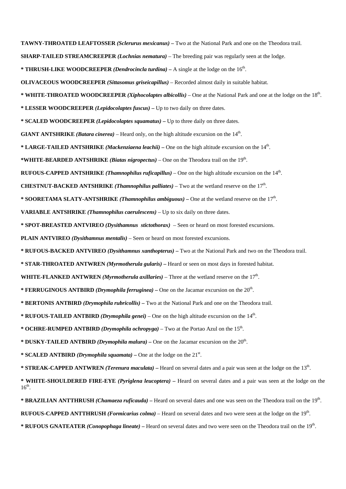**TAWNY-THROATED LEAFTOSSER** *(Sclerurus mexicanus) –* Two at the National Park and one on the Theodora trail.

- **SHARP-TAILED STREAMCREEPER** *(Lochnias nematura)* The breeding pair was regularly seen at the lodge.
- **\* THRUSH-LIKE WOODCREEPER** *(Dendrocincla turdina)*A single at the lodge on the 16th.
- **OLIVACEOUS WOODCREEPER** *(Sittasomus griseicapillus)* Recorded almost daily in suitable habitat.
- **\* WHITE-THROATED WOODCREEPER** *(Xiphocolaptes albicollis)* One at the National Park and one at the lodge on the 18th.
- **\* LESSER WOODCREEPER** *(Lepidocolaptes fuscus)*Up to two daily on three dates.
- **\* SCALED WOODCREEPER** *(Lepidocolaptes squamatus)*Up to three daily on three dates.
- **GIANT ANTSHRIKE** *(Batara cinerea)* Heard only, on the high altitude excursion on the 14th.
- **\* LARGE-TAILED ANTSHRIKE** *(Mackenziaena leachii)* One on the high altitude excursion on the 14th.
- **\*WHITE-BEARDED ANTSHRIKE** *(Biatas nigropectus)* One on the Theodora trail on the 19th.
- **RUFOUS-CAPPED ANTSHRIKE** *(Thamnophilus ruficapillus)* One on the high altitude excursion on the 14th.
- **CHESTNUT-BACKED ANTSHRIKE** *(Thamnophilus palliates)* Two at the wetland reserve on the  $17<sup>th</sup>$ .
- **\* SOORETAMA SLATY-ANTSHRIKE** *(Thamnophilus ambiguous)*One at the wetland reserve on the 17th.
- **VARIABLE ANTSHRIKE** *(Thamnophilus caerulescens)* Up to six daily on three dates.
- **\* SPOT-BREASTED ANTVIREO** *(Dysithamnus stictothorax)* Seen or heard on most forested excursions.
- **PLAIN ANTVIREO** *(Dysithamnus mentalis)* Seen or heard on most forested excursions.
- **\* RUFOUS-BACKED ANTVIREO** *(Dysithamnus xanthopterus)*Two at the National Park and two on the Theodora trail.
- **\* STAR-THROATED ANTWREN** *(Myrmotherula gularis)*Heard or seen on most days in forested habitat.
- **WHITE-FLANKED ANTWREN** *(Myrmotherula axillaries)* Three at the wetland reserve on the  $17<sup>th</sup>$ .
- **\* FERRUGINOUS ANTBIRD** *(Drymophila ferruginea)*One on the Jacamar excursion on the 20th.
- **\* BERTONIS ANTBIRD** *(Drymophila rubricollis)* Two at the National Park and one on the Theodora trail.
- **\* RUFOUS-TAILED ANTBIRD** *(Drymophila genei)* One on the high altitude excursion on the  $14<sup>th</sup>$ .
- **\* OCHRE-RUMPED ANTBIRD** *(Drymophila ochropyga)* Two at the Portao Azul on the 15th.
- **\* DUSKY-TAILED ANTBIRD** *(Drymophila malura)*One on the Jacamar excursion on the 20th.
- \* **SCALED ANTBIRD** *(Drymophila squamata)* One at the lodge on the  $21<sup>st</sup>$ .
- **\* STREAK-CAPPED ANTWREN** *(Terenura maculata)*Heard on several dates and a pair was seen at the lodge on the 13th.
- **\* WHITE-SHOULDERED FIRE-EYE** *(Pyriglena leucoptera)* Heard on several dates and a pair was seen at the lodge on the  $16<sup>th</sup>$ .
- \* **BRAZILIAN ANTTHRUSH** *(Chamaeza ruficauda)* Heard on several dates and one was seen on the Theodora trail on the 19<sup>th</sup>.
- **RUFOUS-CAPPED ANTTHRUSH** *(Formicarius colma)* Heard on several dates and two were seen at the lodge on the 19th.
- **\* RUFOUS GNATEATER** *(Conopophaga lineate)*Heard on several dates and two were seen on the Theodora trail on the 19th.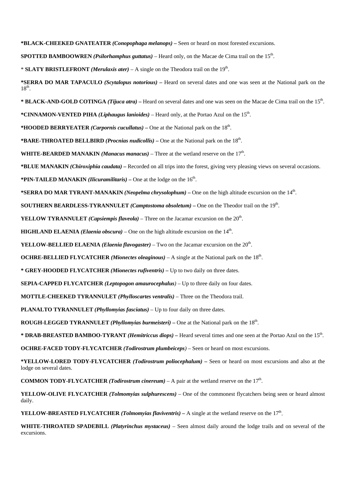**\*BLACK-CHEEKED GNATEATER** *(Conopophaga melanops)* **–** Seen or heard on most forested excursions.

**SPOTTED BAMBOOWREN** *(Psilorhamphus guttatus)* – Heard only, on the Macae de Cima trail on the 15th.

\* **SLATY BRISTLEFRONT** *(Merulaxis ater)* – A single on the Theodora trail on the 19th.

**\*SERRA DO MAR TAPACULO** *(Scytalopus notorious)* **–** Heard on several dates and one was seen at the National park on the  $18^{th}$ .

**\* BLACK-AND-GOLD COTINGA** *(Tijuca atra)* **–** Heard on several dates and one was seen on the Macae de Cima trail on the 15th.

**\*CINNAMON-VENTED PIHA** *(Liphaugus lanioides)* – Heard only, at the Portao Azul on the 15th.

**\*HOODED BERRYEATER** *(Carpornis cucullatus)* **–** One at the National park on the 18th.

**\*BARE-THROATED BELLBIRD** *(Procnias nudicollis)* **–** One at the National park on the 18th.

**WHITE-BEARDED MANAKIN** *(Manacus manacus)* – Three at the wetland reserve on the  $17<sup>th</sup>$ .

**\*BLUE MANAKIN** *(Chiroxiphia caudata)* **–** Recorded on all trips into the forest, giving very pleasing views on several occasions.

**\*PIN-TAILED MANAKIN** *(Ilicuramilitaris)* – One at the lodge on the  $16<sup>th</sup>$ .

**\*SERRA DO MAR TYRANT-MANAKIN** *(Neopelma chrysolophum)* **–** One on the high altitude excursion on the 14th.

**SOUTHERN BEARDLESS-TYRANNULET** *(Camptostoma obsoletum)* – One on the Theodor trail on the 19<sup>th</sup>.

**YELLOW TYRANNULET** *(Capsiempis flaveola)* – Three on the Jacamar excursion on the 20<sup>th</sup>.

**HIGHLAND ELAENIA** *(Elaenia obscura)* – One on the high altitude excursion on the  $14<sup>th</sup>$ .

**YELLOW-BELLIED ELAENIA** *(Elaenia flavogaster)* – Two on the Jacamar excursion on the 20<sup>th</sup>.

**OCHRE-BELLIED FLYCATCHER** *(Mionectes oleaginous)* – A single at the National park on the  $18<sup>th</sup>$ .

**\* GREY-HOODED FLYCATCHER** *(Mionectes rufiventris) –* Up to two daily on three dates.

**SEPIA-CAPPED FLYCATCHER** *(Leptopogon amaurocephalus)* – Up to three daily on four dates.

**MOTTLE-CHEEKED TYRANNULET** *(Phylloscartes ventralis)* – Three on the Theodora trail.

**PLANALTO TYRANNULET** *(Phyllomyias fasciatus)* – Up to four daily on three dates.

**ROUGH-LEGGED TYRANNULET** *(Phyllomyias burmeisteri)* – One at the National park on the 18<sup>th</sup>.

\* **DRAB-BREASTED BAMBOO-TYRANT** *(Hemitriccus diops)* – Heard several times and one seen at the Portao Azul on the 15<sup>th</sup>.

**OCHRE-FACED TODY-FLYCATCHER** *(Todirostrum plumbeiceps)* – Seen or heard on most excursions.

**\*YELLOW-LORED TODY-FLYCATCHER** *(Todirostrum poliocephalum)* **–** Seen or heard on most excursions and also at the lodge on several dates.

**COMMON TODY-FLYCATCHER** *(Todirostrum cinereum)* – A pair at the wetland reserve on the  $17<sup>th</sup>$ .

**YELLOW-OLIVE FLYCATCHER** *(Tolmomyias sulphurescens)* – One of the commonest flycatchers being seen or heard almost daily.

**YELLOW-BREASTED FLYCATCHER** *(Tolmomyias flaviventris)* – A single at the wetland reserve on the  $17<sup>th</sup>$ .

**WHITE-THROATED SPADEBILL** *(Platyrinchus mystaceus)* – Seen almost daily around the lodge trails and on several of the excursions.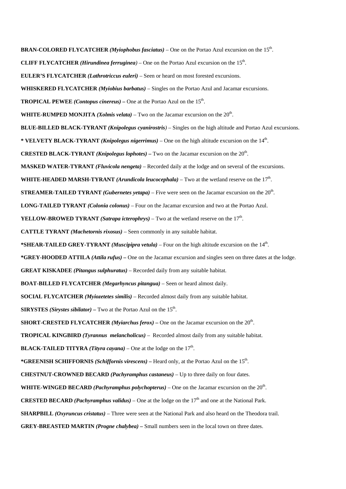**BRAN-COLORED FLYCATCHER** *(Myiophobus fasciatus) –* One on the Portao Azul excursion on the 15th. **CLIFF FLYCATCHER** *(Hirundinea ferruginea)* – One on the Portao Azul excursion on the  $15<sup>th</sup>$ . **EULER'S FLYCATCHER** *(Lathrotriccus euleri)* – Seen or heard on most forested excursions. **WHISKERED FLYCATCHER** *(Myiobius barbatus)* – Singles on the Portao Azul and Jacamar excursions. **TROPICAL PEWEE** *(Contopus cinereus)* – One at the Portao Azul on the  $15<sup>th</sup>$ . **WHITE-RUMPED MONJITA** *(Xolmis velata)* – Two on the Jacamar excursion on the 20th. **BLUE-BILLED BLACK-TYRANT** *(Knipolegus cyanirostris)* – Singles on the high altitude and Portao Azul excursions. **\* VELVETY BLACK-TYRANT** *(Knipolegus nigerrimus)* – One on the high altitude excursion on the 14th. **CRESTED BLACK-TYRANT** *(Knipolegus lophotes) –* Two on the Jacamar excursion on the 20th. **MASKED WATER-TYRANT** *(Fluvicola nengeta)* – Recorded daily at the lodge and on several of the excursions. **WHITE-HEADED MARSH-TYRANT** *(Arundicola leucocephala)* – Two at the wetland reserve on the 17<sup>th</sup>. **STREAMER-TAILED TYRANT** *(Gubernetes yetapa)* – Five were seen on the Jacamar excursion on the 20th. **LONG-TAILED TYRANT** *(Colonia colonus)* – Four on the Jacamar excursion and two at the Portao Azul. **YELLOW-BROWED TYRANT** *(Satrapa icterophrys)* – Two at the wetland reserve on the 17th. **CATTLE TYRANT** *(Machetornis rixosus)* – Seen commonly in any suitable habitat. \***SHEAR-TAILED GREY-TYRANT** *(Muscipipra vetula)* – Four on the high altitude excursion on the 14<sup>th</sup>. **\*GREY-HOODED ATTILA** *(Attila rufus) –* One on the Jacamar excursion and singles seen on three dates at the lodge. **GREAT KISKADEE** *(Pitangus sulphuratus)* – Recorded daily from any suitable habitat. **BOAT-BILLED FLYCATCHER** *(Megarhyncus pitangua)* – Seen or heard almost daily. **SOCIAL FLYCATCHER** *(Myiozetetes similis)* – Recorded almost daily from any suitable habitat. **SIRYSTES** *(Sirystes sibilator)* – Two at the Portao Azul on the  $15<sup>th</sup>$ . **SHORT-CRESTED FLYCATCHER** *(Myiarchus ferox)* – One on the Jacamar excursion on the  $20<sup>th</sup>$ . **TROPICAL KINGBIRD** *(Tyrannus melancholicus)* – Recorded almost daily from any suitable habitat. **BLACK-TAILED TITYRA** *(Tityra cayana)* – One at the lodge on the  $17<sup>th</sup>$ . **\*GREENISH SCHIFFORNIS** *(Schiffornis virescens)* **–** Heard only, at the Portao Azul on the 15th. **CHESTNUT-CROWNED BECARD** *(Pachyramphus castaneus)* – Up to three daily on four dates. **WHITE-WINGED BECARD** *(Pachyramphus polychopterus)* – One on the Jacamar excursion on the 20th. **CRESTED BECARD** *(Pachyramphus validus)* – One at the lodge on the  $17<sup>th</sup>$  and one at the National Park. **SHARPBILL** *(Oxyruncus cristatus)* – Three were seen at the National Park and also heard on the Theodora trail. **GREY-BREASTED MARTIN** *(Progne chalybea) –* Small numbers seen in the local town on three dates.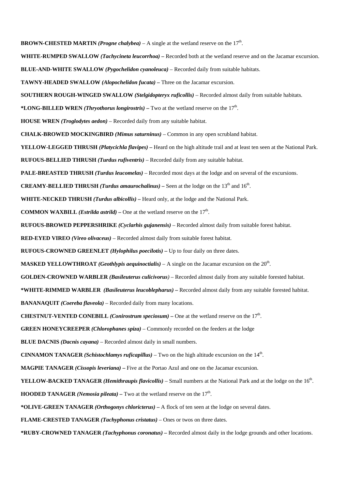**BROWN-CHESTED MARTIN** *(Progne chalybea)* – A single at the wetland reserve on the  $17<sup>th</sup>$ . **WHITE-RUMPED SWALLOW** *(Tachycineta leucorrhoa)* **–** Recorded both at the wetland reserve and on the Jacamar excursion. **BLUE-AND-WHITE SWALLOW** *(Pygochelidon cyanoleuca)* – Recorded daily from suitable habitats. **TAWNY-HEADED SWALLOW** *(Alopochelidon fucata) –* Three on the Jacamar excursion. **SOUTHERN ROUGH-WINGED SWALLOW** *(Stelgidopteryx ruficollis)* – Recorded almost daily from suitable habitats. \***LONG-BILLED WREN** *(Thryothorus longirostris)* – Two at the wetland reserve on the  $17<sup>th</sup>$ . **HOUSE WREN** *(Troglodytes aedon)* – Recorded daily from any suitable habitat. **CHALK-BROWED MOCKINGBIRD** *(Mimus saturninus)* – Common in any open scrubland habitat. **YELLOW-LEGGED THRUSH** *(Platycichla flavipes) –* Heard on the high altitude trail and at least ten seen at the National Park. **RUFOUS-BELLIED THRUSH** *(Turdus rufiventris)* – Recorded daily from any suitable habitat. **PALE-BREASTED THRUSH** *(Turdus leucomelas)* – Recorded most days at the lodge and on several of the excursions. **CREAMY-BELLIED THRUSH** *(Turdus amaurochalinus)* – Seen at the lodge on the  $13<sup>th</sup>$  and  $16<sup>th</sup>$ . **WHITE-NECKED THRUSH** *(Turdus albicollis)* **–** Heard only, at the lodge and the National Park. **COMMON WAXBILL** *(Estrilda astrild)* – One at the wetland reserve on the  $17<sup>th</sup>$ . **RUFOUS-BROWED PEPPERSHRIKE** *(Cyclarhis gujanensis)* – Recorded almost daily from suitable forest habitat. **RED-EYED VIREO** *(Vireo olivaceus)* – Recorded almost daily from suitable forest habitat. **RUFOUS-CROWNED GREENLET** *(Hylophilus poecilotis) –* Up to four daily on three dates. **MASKED YELLOWTHROAT** *(Geothlypis aequinoctialis)* – A single on the Jacamar excursion on the  $20^{\text{th}}$ . **GOLDEN-CROWNED WARBLER** *(Basileuterus culicivorus)* – Recorded almost daily from any suitable forested habitat. **\*WHITE-RIMMED WARBLER** *(Basileuterus leucoblepharus)* **–** Recorded almost daily from any suitable forested habitat. **BANANAQUIT** *(Coereba flaveola)* – Recorded daily from many locations. **CHESTNUT-VENTED CONEBILL** *(Conirostrum speciosum)* – One at the wetland reserve on the  $17<sup>th</sup>$ . **GREEN HONEYCREEPER** *(Chlorophanes spiza)* – Commonly recorded on the feeders at the lodge **BLUE DACNIS** *(Dacnis cayana)* – Recorded almost daily in small numbers. **CINNAMON TANAGER** *(Schistochlamys ruficapillus)* – Two on the high altitude excursion on the 14th. **MAGPIE TANAGER** *(Cissopis leveriana) –* Five at the Portao Azul and one on the Jacamar excursion. **YELLOW-BACKED TANAGER** *(Hemithraupis flavicollis)* – Small numbers at the National Park and at the lodge on the 16<sup>th</sup>. **HOODED TANAGER** *(Nemosia pileata)* – Two at the wetland reserve on the  $17<sup>th</sup>$ . **\*OLIVE-GREEN TANAGER** *(Orthogonys chloricterus)* **–** A flock of ten seen at the lodge on several dates. **FLAME-CRESTED TANAGER** *(Tachyphonus cristatus)* – Ones or twos on three dates. **\*RUBY-CROWNED TANAGER** *(Tachyphonus coronatus) –* Recorded almost daily in the lodge grounds and other locations.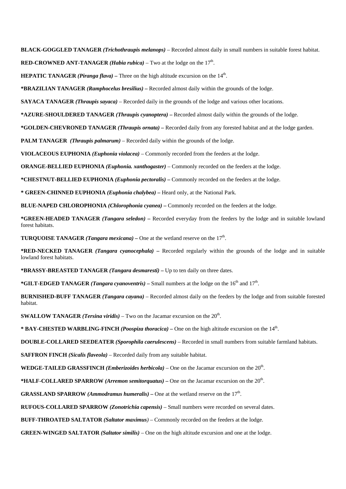**BLACK-GOGGLED TANAGER** *(Trichothraupis melanops)* – Recorded almost daily in small numbers in suitable forest habitat.

**RED-CROWNED ANT-TANAGER** *(Habia rubica)* – Two at the lodge on the  $17<sup>th</sup>$ .

**HEPATIC TANAGER** *(Piranga flava)* – Three on the high altitude excursion on the  $14<sup>th</sup>$ .

**\*BRAZILIAN TANAGER** *(Ramphocelus bresilius)* **–** Recorded almost daily within the grounds of the lodge.

**SAYACA TANAGER** *(Thraupis sayaca)* – Recorded daily in the grounds of the lodge and various other locations.

**\*AZURE-SHOULDERED TANAGER** *(Thraupis cyanoptera)* **–** Recorded almost daily within the grounds of the lodge.

**\*GOLDEN-CHEVRONED TANAGER** *(Thraupis ornata) –* Recorded daily from any forested habitat and at the lodge garden.

**PALM TANAGER** *(Thraupis palmarum)* – Recorded daily within the grounds of the lodge.

**VIOLACEOUS EUPHONIA** *(Euphonia violacea)* – Commonly recorded from the feeders at the lodge.

**ORANGE-BELLIED EUPHONIA** *(Euphonia. xanthogaster)* – Commonly recorded on the feeders at the lodge.

**\*CHESTNUT-BELLIED EUPHONIA** *(Euphonia pectoralis)* **–** Commonly recorded on the feeders at the lodge.

**\* GREEN-CHINNED EUPHONIA** *(Euphonia chalybea) –* Heard only, at the National Park.

**BLUE-NAPED CHLOROPHONIA** *(Chlorophonia cyanea) –* Commonly recorded on the feeders at the lodge.

**\*GREEN-HEADED TANAGER** *(Tangara seledon) –* Recorded everyday from the feeders by the lodge and in suitable lowland forest habitats.

**TURQUOISE TANAGER** *(Tangara mexicana)* – One at the wetland reserve on the  $17<sup>th</sup>$ .

**\*RED-NECKED TANAGER** *(Tangara cyanocephala)* **–** Recorded regularly within the grounds of the lodge and in suitable lowland forest habitats.

**\*BRASSY-BREASTED TANAGER** *(Tangara desmaresti)* **–** Up to ten daily on three dates.

**\*GILT-EDGED TANAGER** *(Tangara cyanoventris) –* Small numbers at the lodge on the 16th and 17th.

**BURNISHED-BUFF TANAGER** *(Tangara cayana)* – Recorded almost daily on the feeders by the lodge and from suitable forested habitat.

**SWALLOW TANAGER** *(Tersina viridis)* – Two on the Jacamar excursion on the  $20<sup>th</sup>$ .

**\* BAY-CHESTED WARBLING-FINCH** *(Poospiza thoracica) –* One on the high altitude excursion on the 14th.

**DOUBLE-COLLARED SEEDEATER** *(Sporophila caerulescens)* – Recorded in small numbers from suitable farmland habitats.

**SAFFRON FINCH** *(Sicalis flaveola)* – Recorded daily from any suitable habitat.

**WEDGE-TAILED GRASSFINCH** *(Emberizoides herbicola)* – One on the Jacamar excursion on the  $20<sup>th</sup>$ .

**\*HALF-COLLARED SPARROW** *(Arremon semitorquatus)* **–** One on the Jacamar excursion on the 20th.

**GRASSLAND SPARROW** *(Ammodramus humeralis)* – One at the wetland reserve on the  $17<sup>th</sup>$ .

**RUFOUS-COLLARED SPARROW** *(Zonotrichia capensis)* – Small numbers were recorded on several dates.

**BUFF-THROATED SALTATOR** *(Saltator maximus)* – Commonly recorded on the feeders at the lodge.

**GREEN-WINGED SALTATOR** *(Saltator similis)* – One on the high altitude excursion and one at the lodge.